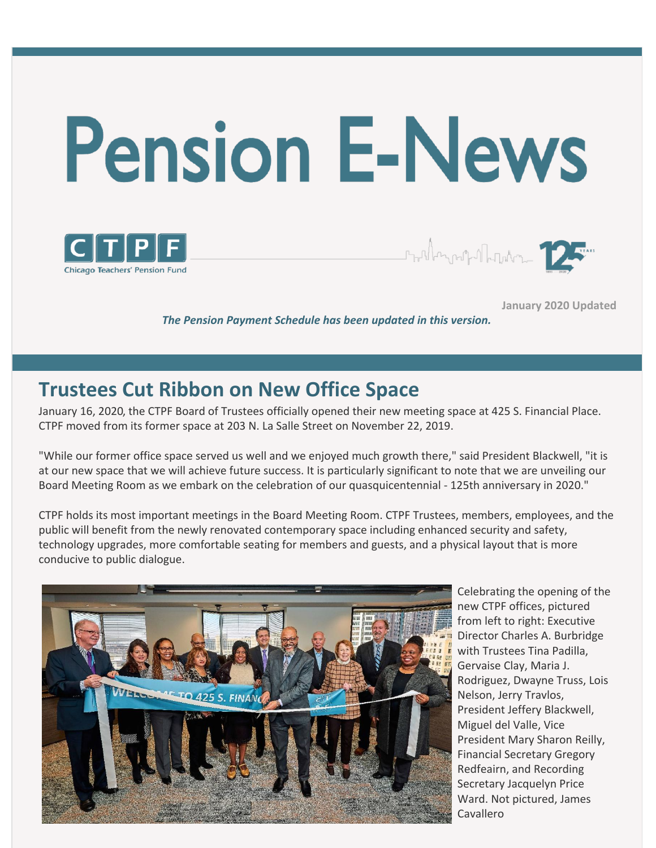



**January 2020 Updated**

*The Pension Payment Schedule has been updated in this version.*

## **Trustees Cut Ribbon on New Office Space**

January 16, 2020, the CTPF Board of Trustees officially opened their new meeting space at 425 S. Financial Place. CTPF moved from its former space at 203 N. La Salle Street on November 22, 2019.

"While our former office space served us well and we enjoyed much growth there," said President Blackwell, "it is at our new space that we will achieve future success. It is particularly significant to note that we are unveiling our Board Meeting Room as we embark on the celebration of our quasquicentennial - 125th anniversary in 2020."

CTPF holds its most important meetings in the Board Meeting Room. CTPF Trustees, members, employees, and the public will benefit from the newly renovated contemporary space including enhanced security and safety, technology upgrades, more comfortable seating for members and guests, and a physical layout that is more conducive to public dialogue.



Celebrating the opening of the new CTPF offices, pictured from left to right: Executive Director Charles A. Burbridge with Trustees Tina Padilla, Gervaise Clay, Maria J. Rodriguez, Dwayne Truss, Lois Nelson, Jerry Travlos, President Jeffery Blackwell, Miguel del Valle, Vice President Mary Sharon Reilly, Financial Secretary Gregory Redfeairn, and Recording Secretary Jacquelyn Price Ward. Not pictured, James Cavallero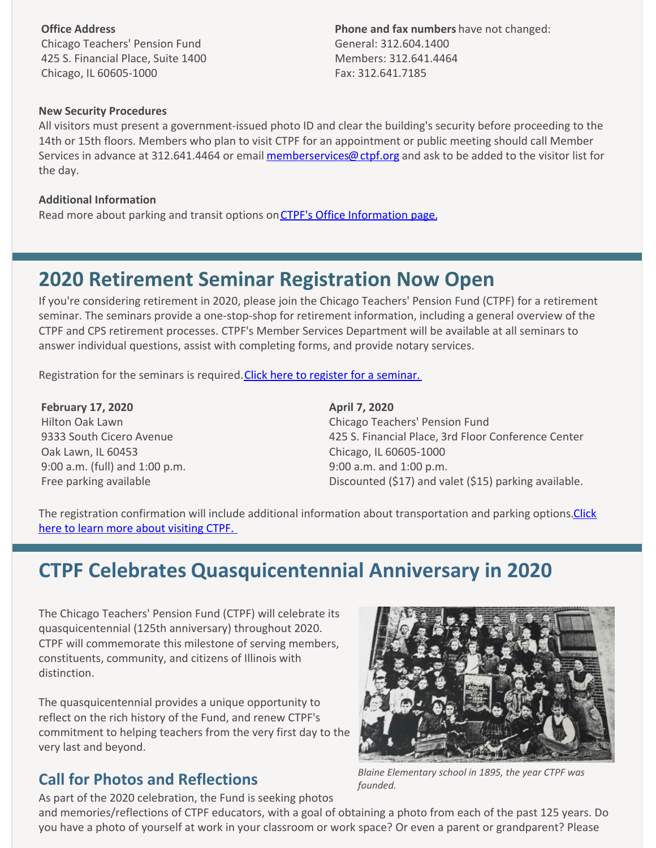**Office Address** Chicago Teachers' Pension Fund 425 S. Financial Place, Suite 1400 Chicago, IL 60605-1000

**Phone and fax numbers** have not changed: General: 312.604.1400 Members: 312.641.4464 Fax: 312.641.7185

#### **New Security Procedures**

All visitors must present a government-issued photo ID and clear the building's security before proceeding to the 14th or 15th floors. Members who plan to visit CTPF for an appointment or public meeting should call Member Services in advance at 312.641.4464 or email [memberservices@ctpf.org](mailto:memberservices@ctpf.org) and ask to be added to the visitor list for the day.

#### **Additional Information**

Read more about parking and transit options on [CTPF's Office Information page.](https://www.ctpf.org/office-information)

### **2020 Retirement Seminar Registration Now Open**

If you're considering retirement in 2020, please join the Chicago Teachers' Pension Fund (CTPF) for a retirement seminar. The seminars provide a one-stop-shop for retirement information, including a general overview of the CTPF and CPS retirement processes. CTPF's Member Services Department will be available at all seminars to answer individual questions, assist with completing forms, and provide notary services.

Registration for the seminars is required. Click here to register for a seminar.

**February 17, 2020** Hilton Oak Lawn 9333 South Cicero Avenue Oak Lawn, IL 60453 9:00 a.m. (full) and 1:00 p.m. Free parking available

**April 7, 2020** Chicago Teachers' Pension Fund 425 S. Financial Place, 3rd Floor Conference Center Chicago, IL 60605-1000 9:00 a.m. and 1:00 p.m. Discounted (\$17) and valet (\$15) parking available.

[The registration confirmation will include additional information about transportation and parking options. Click](https://www.ctpf.org/office-information) here to learn more about visiting CTPF.

### **CTPF Celebrates Quasquicentennial Anniversary in 2020**

The Chicago Teachers' Pension Fund (CTPF) will celebrate its quasquicentennial (125th anniversary) throughout 2020. CTPF will commemorate this milestone of serving members, constituents, community, and citizens of Illinois with distinction.

The quasquicentennial provides a unique opportunity to reflect on the rich history of the Fund, and renew CTPF's commitment to helping teachers from the very first day to the very last and beyond.

As part of the 2020 celebration, the Fund is seeking photos

### **Call for Photos and Reflections**



*Blaine Elementary school in 1895, the year CTPF was founded.* 

and memories/reflections of CTPF educators, with a goal of obtaining a photo from each of the past 125 years. Do you have a photo of yourself at work in your classroom or work space? Or even a parent or grandparent? Please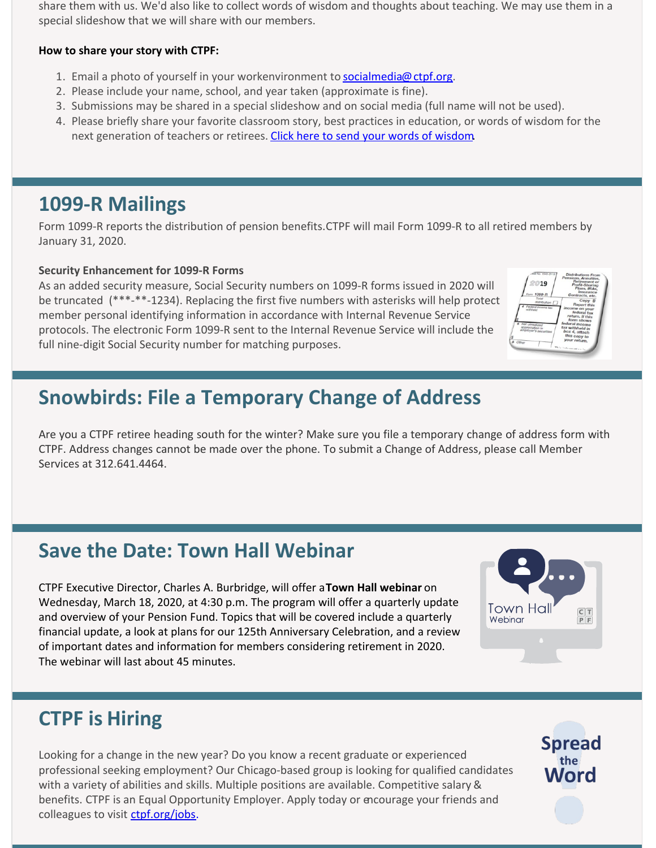share them with us. We'd also like to collect words of wisdom and thoughts about teaching. We may use them in a special slideshow that we will share with our members.

#### **How to share your story with CTPF:**

- 1. Email a photo of yourself in your workenvironment to [socialmedia@ctpf.org](mailto:socialmedia@ctpf.org).
- 2. Please include your name, school, and year taken (approximate is fine).
- 3. Submissions may be shared in a special slideshow and on social media (full name will not be used).
- 4. Please briefly share your favorite classroom story, best practices in education, or words of wisdom for the next generation of teachers or retirees. [Click here to send your words of wisdom.](https://docs.google.com/forms/d/e/1FAIpQLScpnGIPRvQ88OJep_QAyIM-8pMSYz80eDFwURTIKoC8okTFOA/viewform)

## **1099-R Mailings**

Form 1099-R reports the distribution of pension benefits. CTPF will mail Form 1099-R to all retired members by January 31, 2020.

#### **Security Enhancement for 1099-R Forms**

As an added security measure, Social Security numbers on 1099-R forms issued in 2020 will be truncated (\*\*\*-\*\*-1234). Replacing the first five numbers with asterisks will help protect member personal identifying information in accordance with Internal Revenue Service protocols. The electronic Form 1099-R sent to the Internal Revenue Service will include the full nine-digit Social Security number for matching purposes.

| MB No. 1545-0110                         | <b>Distributions From</b><br>Pensions, Annuities, |
|------------------------------------------|---------------------------------------------------|
| 2019                                     | Retirement or                                     |
|                                          | Profit-Sharing<br>Plans, IRAs,                    |
|                                          | Insurance                                         |
| 1099-R<br>loen<br>Total                  | Contracts, etc.                                   |
| distribution /                           | Copy B                                            |
| ederal income tax                        | <b>Report this</b>                                |
|                                          | income on your<br>federal tax                     |
|                                          | return. If this                                   |
|                                          | form shows                                        |
| Net unrealized                           | federal income                                    |
| appreciation in<br>employer's securities | tax withheld in                                   |
|                                          | box 4, attach                                     |
|                                          | this copy to<br>your return.                      |
| Other                                    |                                                   |
|                                          | Their induces and an in                           |
|                                          |                                                   |
|                                          |                                                   |

## **Snowbirds: File a Temporary Change of Address**

Are you a CTPF retiree heading south for the winter? Make sure you file a temporary change of address form with CTPF. Address changes cannot be made over the phone. To submit a Change of Address, please call Member Services at 312.641.4464.

# **Save the Date: Town Hall Webinar**

CTPF Executive Director, Charles A. Burbridge, will offer a **Town Hall webinar** on Wednesday, March 18, 2020, at 4:30 p.m. The program will offer a quarterly update and overview of your Pension Fund. Topics that will be covered include a quarterly financial update, a look at plans for our 125th Anniversary Celebration, and a review of important dates and information for members considering retirement in 2020. The webinar will last about 45 minutes.



# **CTPF is Hiring**

Looking for a change in the new year? Do you know a recent graduate or experienced professional seeking employment? Our Chicago-based group is looking for qualified candidates with a variety of abilities and skills. Multiple positions are available. Competitive salary & benefits. CTPF is an Equal Opportunity Employer. Apply today or encourage your friends and colleagues to visit [ctpf.org/jobs](http://www.ctpf.org/jobs).

**Spread**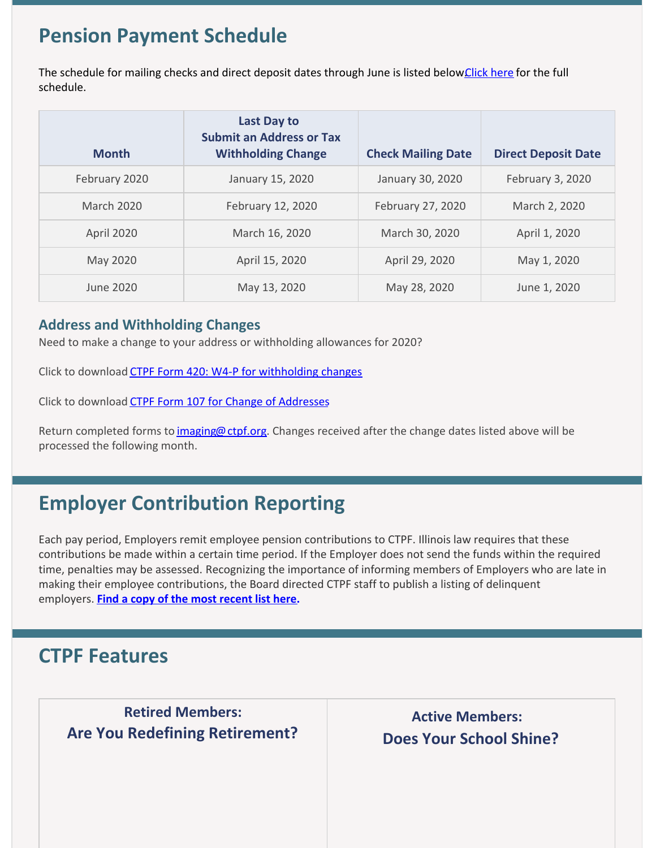## **Pension Payment Schedule**

The schedule for mailing checks and direct deposit dates through June is listed below Click here for the full schedule.

| <b>Month</b>  | <b>Last Day to</b><br><b>Submit an Address or Tax</b><br><b>Withholding Change</b> | <b>Check Mailing Date</b> | <b>Direct Deposit Date</b> |
|---------------|------------------------------------------------------------------------------------|---------------------------|----------------------------|
| February 2020 | January 15, 2020                                                                   | January 30, 2020          | February 3, 2020           |
| March 2020    | February 12, 2020                                                                  | February 27, 2020         | March 2, 2020              |
| April 2020    | March 16, 2020                                                                     | March 30, 2020            | April 1, 2020              |
| May 2020      | April 15, 2020                                                                     | April 29, 2020            | May 1, 2020                |
| June 2020     | May 13, 2020                                                                       | May 28, 2020              | June 1, 2020               |

#### **Address and Withholding Changes**

Need to make a change to your address or withholding allowances for 2020?

Click to download [CTPF Form 420: W4-P for withholding changes](https://www.ctpf.org/sites/main/files/file-attachments/form_420_w-4p.pdf)

Click to download [CTPF Form 107 for Change of Addresses](https://www.ctpf.org/sites/main/files/file-attachments/form_107_temp_post_1.pdf)

Return completed forms to [imaging@ctpf.org.](http://imaging@ctpf.org) Changes received after the change dates listed above will be processed the following month.

## **Employer Contribution Reporting**

Each pay period, Employers remit employee pension contributions to CTPF. Illinois law requires that these contributions be made within a certain time period. If the Employer does not send the funds within the required time, penalties may be assessed. Recognizing the importance of informing members of Employers who are late in making their employee contributions, the Board directed CTPF staff to publish a listing of delinquent employers. **[Find a copy of the most recent list here](http://ctpf.org/employer-contribution-reporting).**

### **CTPF Features**

 **Retired Members: Are You Redefining Retirement?**

**Active Members: Does Your School Shine?**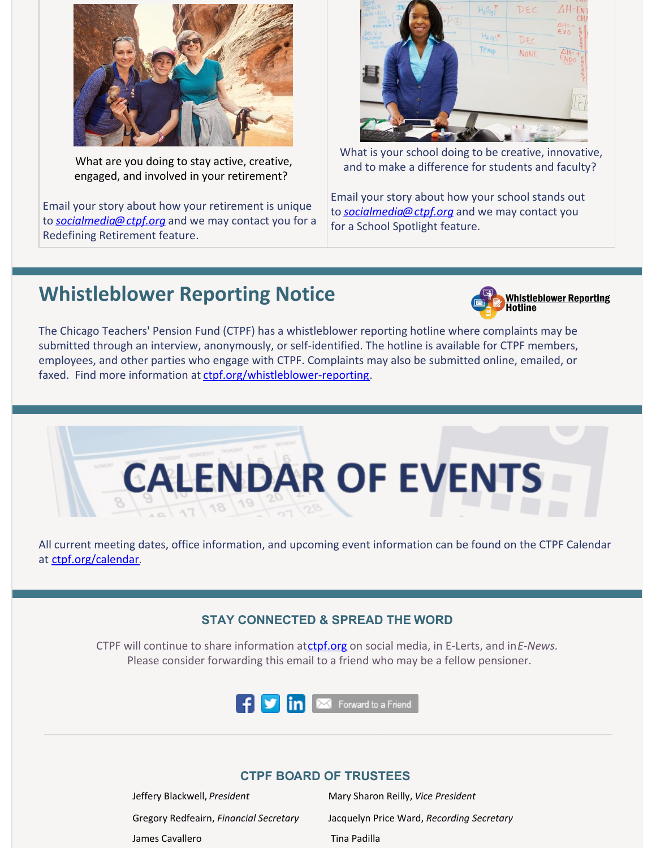

What are you doing to stay active, creative, engaged, and involved in your retirement?

Email your story about how your retirement is unique to *[socialmedia@ctpf.org](mailto:socialmedia@ctpf.org)* and we may contact you for a Redefining Retirement feature.



What is your school doing to be creative, innovative, and to make a difference for students and faculty?

Email your story about how your school stands out to *[socialmedia@ctpf.org](mailto:socialmedia@ctpf.org)* and we may contact you for a School Spotlight feature.

### **Whistleblower Reporting Notice**



The Chicago Teachers' Pension Fund (CTPF) has a whistleblower reporting hotline where complaints may be submitted through an interview, anonymously, or self-identified. The hotline is available for CTPF members, employees, and other parties who engage with CTPF. Complaints may also be submitted online, emailed, or faxed. Find more information at [ctpf.org/whistleblower-reporting](http://ctpf.org/whistleblower-reporting).



All current meeting dates, office information, and upcoming event information can be found on the CTPF Calendar at [ctpf.org/calendar](http://www.ctpf.org/calendar).

#### **STAY CONNECTED & SPREAD THE WORD**

CTPF will continue to share information at[ctpf.org](http://www.ctpf.org) on social media, in E-Lerts, and in*E-News*. Please consider forwarding this email to a friend who may be a fellow pensioner.



#### **CTPF BOARD OF TRUSTEES**

Jeffery Blackwell, *President* Mary Sharon Reilly, *Vice President* James Cavallero **Tina Padilla** 

Gregory Redfeairn, *Financial Secretary* Jacquelyn Price Ward, *Recording Secretary*